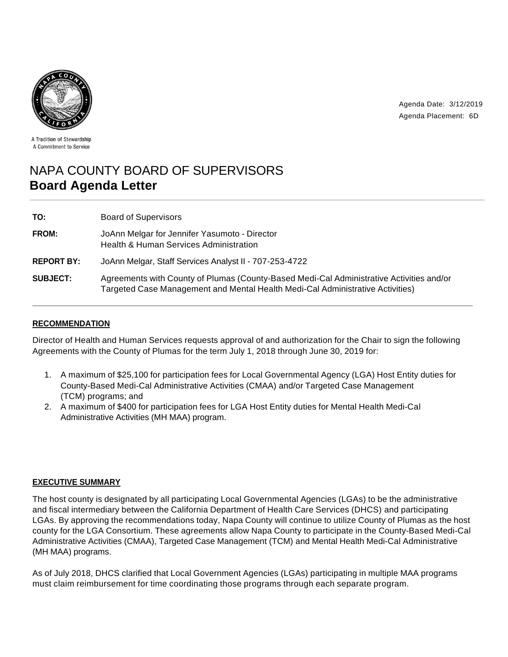



A Tradition of Stewardship A Commitment to Service

# NAPA COUNTY BOARD OF SUPERVISORS **Board Agenda Letter**

| TO:               | <b>Board of Supervisors</b>                                                                                                                                                |
|-------------------|----------------------------------------------------------------------------------------------------------------------------------------------------------------------------|
| <b>FROM:</b>      | JoAnn Melgar for Jennifer Yasumoto - Director<br>Health & Human Services Administration                                                                                    |
| <b>REPORT BY:</b> | JoAnn Melgar, Staff Services Analyst II - 707-253-4722                                                                                                                     |
| <b>SUBJECT:</b>   | Agreements with County of Plumas (County-Based Medi-Cal Administrative Activities and/or<br>Targeted Case Management and Mental Health Medi-Cal Administrative Activities) |

## **RECOMMENDATION**

Director of Health and Human Services requests approval of and authorization for the Chair to sign the following Agreements with the County of Plumas for the term July 1, 2018 through June 30, 2019 for:

- 1. A maximum of \$25,100 for participation fees for Local Governmental Agency (LGA) Host Entity duties for County-Based Medi-Cal Administrative Activities (CMAA) and/or Targeted Case Management (TCM) programs; and
- 2. A maximum of \$400 for participation fees for LGA Host Entity duties for Mental Health Medi-Cal Administrative Activities (MH MAA) program.

### **EXECUTIVE SUMMARY**

The host county is designated by all participating Local Governmental Agencies (LGAs) to be the administrative and fiscal intermediary between the California Department of Health Care Services (DHCS) and participating LGAs. By approving the recommendations today, Napa County will continue to utilize County of Plumas as the host county for the LGA Consortium. These agreements allow Napa County to participate in the County-Based Medi-Cal Administrative Activities (CMAA), Targeted Case Management (TCM) and Mental Health Medi-Cal Administrative (MH MAA) programs.

As of July 2018, DHCS clarified that Local Government Agencies (LGAs) participating in multiple MAA programs must claim reimbursement for time coordinating those programs through each separate program.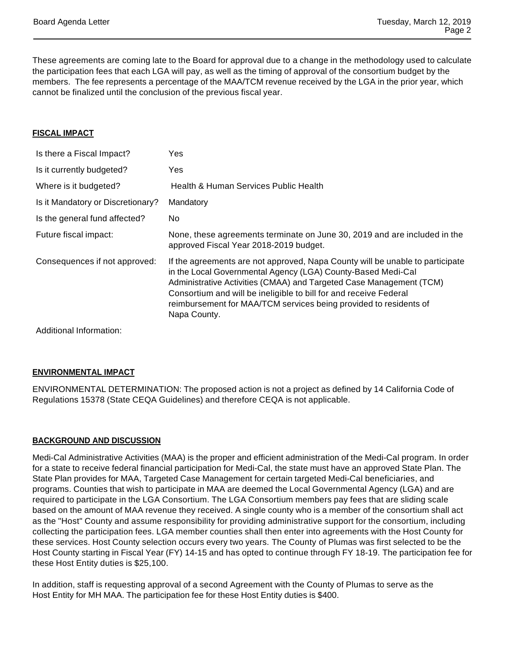These agreements are coming late to the Board for approval due to a change in the methodology used to calculate the participation fees that each LGA will pay, as well as the timing of approval of the consortium budget by the members. The fee represents a percentage of the MAA/TCM revenue received by the LGA in the prior year, which cannot be finalized until the conclusion of the previous fiscal year.

### **FISCAL IMPACT**

| Is there a Fiscal Impact?         | Yes                                                                                                                                                                                                                                                                                                                                                                            |
|-----------------------------------|--------------------------------------------------------------------------------------------------------------------------------------------------------------------------------------------------------------------------------------------------------------------------------------------------------------------------------------------------------------------------------|
| Is it currently budgeted?         | Yes                                                                                                                                                                                                                                                                                                                                                                            |
| Where is it budgeted?             | Health & Human Services Public Health                                                                                                                                                                                                                                                                                                                                          |
| Is it Mandatory or Discretionary? | Mandatory                                                                                                                                                                                                                                                                                                                                                                      |
| Is the general fund affected?     | No                                                                                                                                                                                                                                                                                                                                                                             |
| Future fiscal impact:             | None, these agreements terminate on June 30, 2019 and are included in the<br>approved Fiscal Year 2018-2019 budget.                                                                                                                                                                                                                                                            |
| Consequences if not approved:     | If the agreements are not approved, Napa County will be unable to participate<br>in the Local Governmental Agency (LGA) County-Based Medi-Cal<br>Administrative Activities (CMAA) and Targeted Case Management (TCM)<br>Consortium and will be ineligible to bill for and receive Federal<br>reimbursement for MAA/TCM services being provided to residents of<br>Napa County. |
|                                   |                                                                                                                                                                                                                                                                                                                                                                                |

Additional Information:

### **ENVIRONMENTAL IMPACT**

ENVIRONMENTAL DETERMINATION: The proposed action is not a project as defined by 14 California Code of Regulations 15378 (State CEQA Guidelines) and therefore CEQA is not applicable.

### **BACKGROUND AND DISCUSSION**

Medi-Cal Administrative Activities (MAA) is the proper and efficient administration of the Medi-Cal program. In order for a state to receive federal financial participation for Medi-Cal, the state must have an approved State Plan. The State Plan provides for MAA, Targeted Case Management for certain targeted Medi-Cal beneficiaries, and programs. Counties that wish to participate in MAA are deemed the Local Governmental Agency (LGA) and are required to participate in the LGA Consortium. The LGA Consortium members pay fees that are sliding scale based on the amount of MAA revenue they received. A single county who is a member of the consortium shall act as the "Host" County and assume responsibility for providing administrative support for the consortium, including collecting the participation fees. LGA member counties shall then enter into agreements with the Host County for these services. Host County selection occurs every two years. The County of Plumas was first selected to be the Host County starting in Fiscal Year (FY) 14-15 and has opted to continue through FY 18-19. The participation fee for these Host Entity duties is \$25,100.

In addition, staff is requesting approval of a second Agreement with the County of Plumas to serve as the Host Entity for MH MAA. The participation fee for these Host Entity duties is \$400.